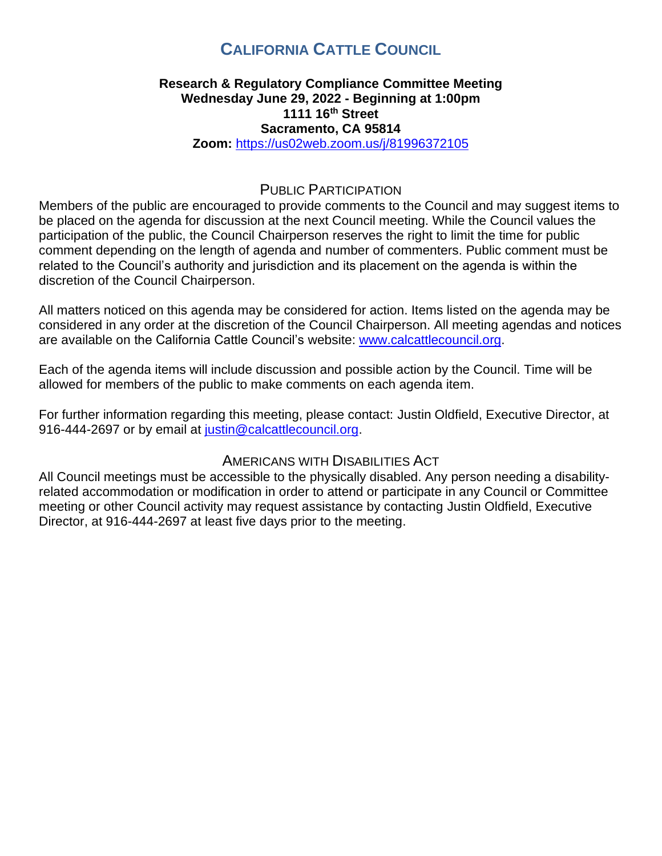# **CALIFORNIA CATTLE COUNCIL**

### **Research & Regulatory Compliance Committee Meeting Wednesday June 29, 2022 - Beginning at 1:00pm 1111 16th Street Sacramento, CA 95814 Zoom:** <https://us02web.zoom.us/j/81996372105>

## PUBLIC PARTICIPATION

Members of the public are encouraged to provide comments to the Council and may suggest items to be placed on the agenda for discussion at the next Council meeting. While the Council values the participation of the public, the Council Chairperson reserves the right to limit the time for public comment depending on the length of agenda and number of commenters. Public comment must be related to the Council's authority and jurisdiction and its placement on the agenda is within the discretion of the Council Chairperson.

All matters noticed on this agenda may be considered for action. Items listed on the agenda may be considered in any order at the discretion of the Council Chairperson. All meeting agendas and notices are available on the California Cattle Council's website: [www.calcattlecouncil.org.](http://www.calcattlecouncil.org/)

Each of the agenda items will include discussion and possible action by the Council. Time will be allowed for members of the public to make comments on each agenda item.

For further information regarding this meeting, please contact: Justin Oldfield, Executive Director, at 916-444-2697 or by email at [justin@calcattlecouncil.org.](mailto:justin@calcattlecouncil.org)

# AMERICANS WITH DISABILITIES ACT

All Council meetings must be accessible to the physically disabled. Any person needing a disabilityrelated accommodation or modification in order to attend or participate in any Council or Committee meeting or other Council activity may request assistance by contacting Justin Oldfield, Executive Director, at 916-444-2697 at least five days prior to the meeting.